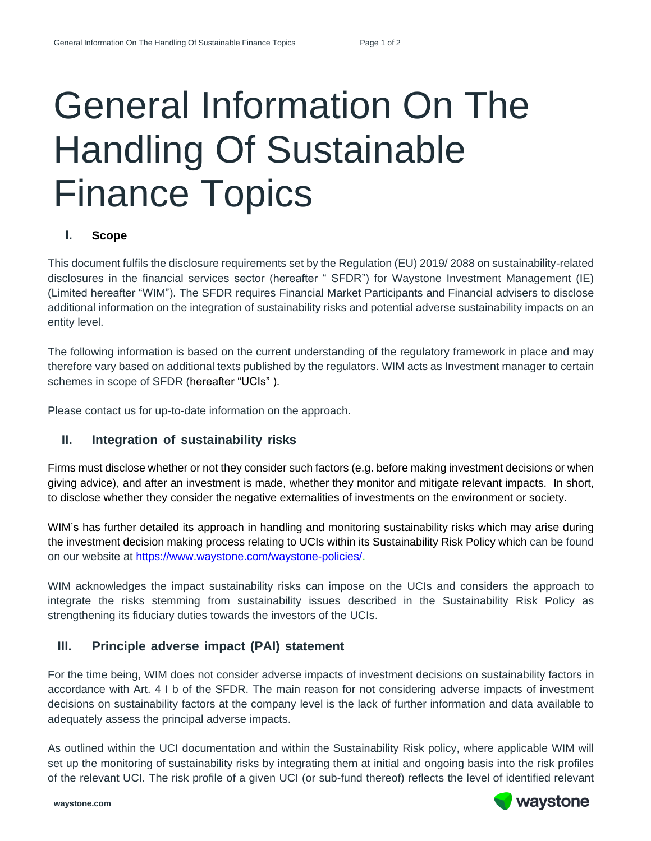# General Information On The Handling Of Sustainable Finance Topics

#### **I. Scope**

This document fulfils the disclosure requirements set by the Regulation (EU) 2019/ 2088 on sustainability-related disclosures in the financial services sector (hereafter " SFDR") for Waystone Investment Management (IE) (Limited hereafter "WIM"). The SFDR requires Financial Market Participants and Financial advisers to disclose additional information on the integration of sustainability risks and potential adverse sustainability impacts on an entity level.

The following information is based on the current understanding of the regulatory framework in place and may therefore vary based on additional texts published by the regulators. WIM acts as Investment manager to certain schemes in scope of SFDR (hereafter "UCIs" ).

Please contact us for up-to-date information on the approach.

## **II. Integration of sustainability risks**

Firms must disclose whether or not they consider such factors (e.g. before making investment decisions or when giving advice), and after an investment is made, whether they monitor and mitigate relevant impacts. In short, to disclose whether they consider the negative externalities of investments on the environment or society.

WIM's has further detailed its approach in handling and monitoring sustainability risks which may arise during the investment decision making process relating to UCIs within its Sustainability Risk Policy which can be found on our website at [https://www.waystone.com/waystone-policies/.](https://www.waystone.com/waystone-policies/)

WIM acknowledges the impact sustainability risks can impose on the UCIs and considers the approach to integrate the risks stemming from sustainability issues described in the Sustainability Risk Policy as strengthening its fiduciary duties towards the investors of the UCIs.

## **III. Principle adverse impact (PAI) statement**

For the time being, WIM does not consider adverse impacts of investment decisions on sustainability factors in accordance with Art. 4 I b of the SFDR. The main reason for not considering adverse impacts of investment decisions on sustainability factors at the company level is the lack of further information and data available to adequately assess the principal adverse impacts.

As outlined within the UCI documentation and within the Sustainability Risk policy, where applicable WIM will set up the monitoring of sustainability risks by integrating them at initial and ongoing basis into the risk profiles of the relevant UCI. The risk profile of a given UCI (or sub-fund thereof) reflects the level of identified relevant